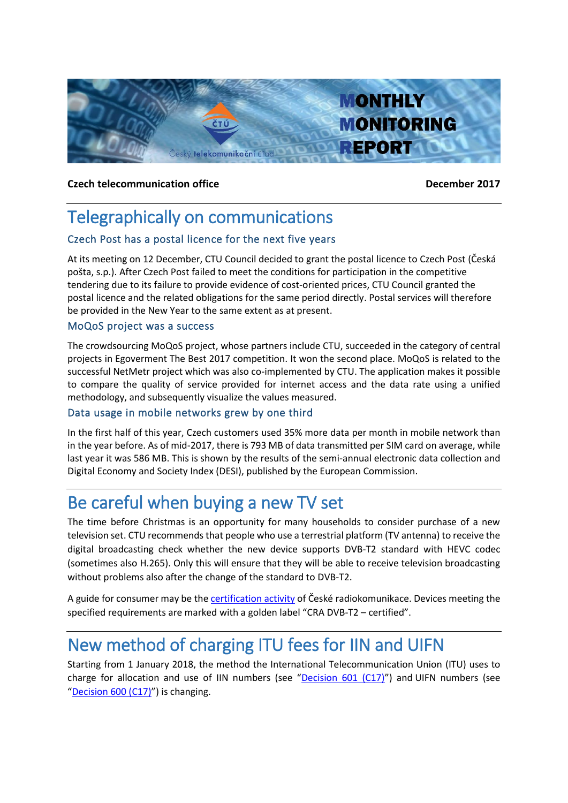

## **Czech telecommunication office December 2017**

# Telegraphically on communications

## Czech Post has a postal licence for the next five years

At its meeting on 12 December, CTU Council decided to grant the postal licence to Czech Post (Česká pošta, s.p.). After Czech Post failed to meet the conditions for participation in the competitive tendering due to its failure to provide evidence of cost-oriented prices, CTU Council granted the postal licence and the related obligations for the same period directly. Postal services will therefore be provided in the New Year to the same extent as at present.

## MoQoS project was a success

The crowdsourcing MoQoS project, whose partners include CTU, succeeded in the category of central projects in Egoverment The Best 2017 competition. It won the second place. MoQoS is related to the successful NetMetr project which was also co-implemented by CTU. The application makes it possible to compare the quality of service provided for internet access and the data rate using a unified methodology, and subsequently visualize the values measured.

## Data usage in mobile networks grew by one third

In the first half of this year, Czech customers used 35% more data per month in mobile network than in the year before. As of mid-2017, there is 793 MB of data transmitted per SIM card on average, while last year it was 586 MB. This is shown by the results of the semi-annual electronic data collection and Digital Economy and Society Index (DESI), published by the European Commission.

## Be careful when buying a new TV set

The time before Christmas is an opportunity for many households to consider purchase of a new television set. CTU recommends that people who use a terrestrial platform (TV antenna) to receive the digital broadcasting check whether the new device supports DVB-T2 standard with HEVC codec (sometimes also H.265). Only this will ensure that they will be able to receive television broadcasting without problems also after the change of the standard to DVB-T2.

A guide for consumer may be the [certification activity](http://www.dvbt2overeno.cz/#certifikace) of České radiokomunikace. Devices meeting the specified requirements are marked with a golden label "CRA DVB-T2 – certified".

## New method of charging ITU fees for IIN and UIFN

Starting from 1 January 2018, the method the International Telecommunication Union (ITU) uses to charge for allocation and use of IIN numbers (see "[Decision 601 \(C17\)](https://www.itu.int/md/S17-CL-C-0134/en)") and UIFN numbers (see "[Decision 600 \(C17\)](https://www.itu.int/md/S17-CL-C-0133/en)") is changing.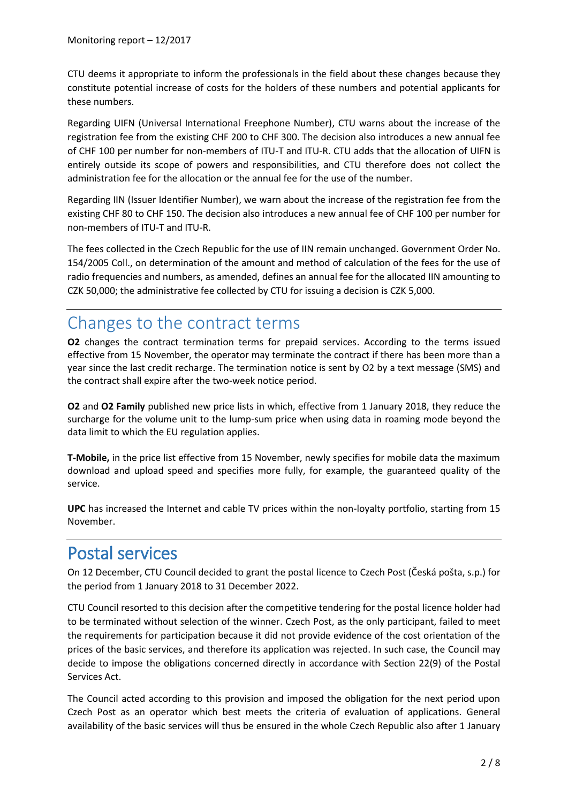CTU deems it appropriate to inform the professionals in the field about these changes because they constitute potential increase of costs for the holders of these numbers and potential applicants for these numbers.

Regarding UIFN (Universal International Freephone Number), CTU warns about the increase of the registration fee from the existing CHF 200 to CHF 300. The decision also introduces a new annual fee of CHF 100 per number for non-members of ITU-T and ITU-R. CTU adds that the allocation of UIFN is entirely outside its scope of powers and responsibilities, and CTU therefore does not collect the administration fee for the allocation or the annual fee for the use of the number.

Regarding IIN (Issuer Identifier Number), we warn about the increase of the registration fee from the existing CHF 80 to CHF 150. The decision also introduces a new annual fee of CHF 100 per number for non-members of ITU-T and ITU-R.

The fees collected in the Czech Republic for the use of IIN remain unchanged. Government Order No. 154/2005 Coll., on determination of the amount and method of calculation of the fees for the use of radio frequencies and numbers, as amended, defines an annual fee for the allocated IIN amounting to CZK 50,000; the administrative fee collected by CTU for issuing a decision is CZK 5,000.

# Changes to the contract terms

**O2** changes the contract termination terms for prepaid services. According to the terms issued effective from 15 November, the operator may terminate the contract if there has been more than a year since the last credit recharge. The termination notice is sent by O2 by a text message (SMS) and the contract shall expire after the two-week notice period.

**O2** and **O2 Family** published new price lists in which, effective from 1 January 2018, they reduce the surcharge for the volume unit to the lump-sum price when using data in roaming mode beyond the data limit to which the EU regulation applies.

**T-Mobile,** in the price list effective from 15 November, newly specifies for mobile data the maximum download and upload speed and specifies more fully, for example, the guaranteed quality of the service.

**UPC** has increased the Internet and cable TV prices within the non-loyalty portfolio, starting from 15 November.

## Postal services

On 12 December, CTU Council decided to grant the postal licence to Czech Post (Česká pošta, s.p.) for the period from 1 January 2018 to 31 December 2022.

CTU Council resorted to this decision after the competitive tendering for the postal licence holder had to be terminated without selection of the winner. Czech Post, as the only participant, failed to meet the requirements for participation because it did not provide evidence of the cost orientation of the prices of the basic services, and therefore its application was rejected. In such case, the Council may decide to impose the obligations concerned directly in accordance with Section 22(9) of the Postal Services Act.

The Council acted according to this provision and imposed the obligation for the next period upon Czech Post as an operator which best meets the criteria of evaluation of applications. General availability of the basic services will thus be ensured in the whole Czech Republic also after 1 January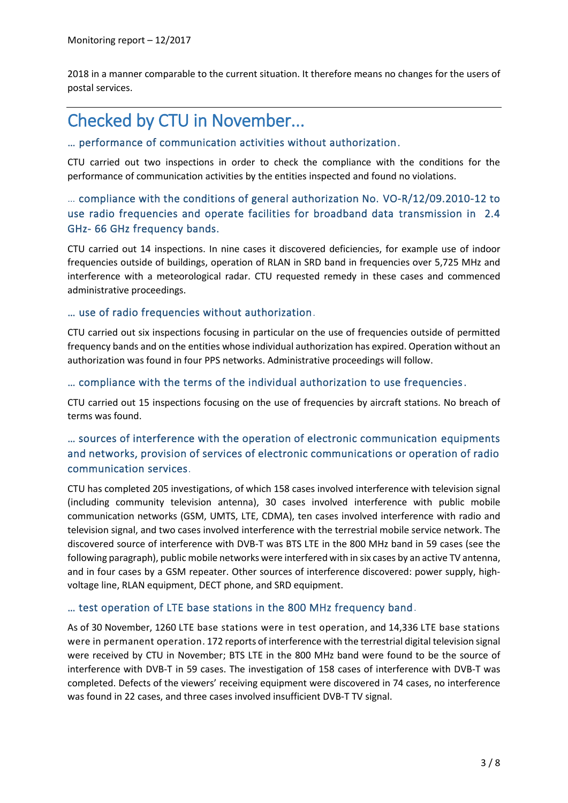2018 in a manner comparable to the current situation. It therefore means no changes for the users of postal services.

# Checked by CTU in November...

## … performance of communication activities without authorization.

CTU carried out two inspections in order to check the compliance with the conditions for the performance of communication activities by the entities inspected and found no violations.

## … compliance with the conditions of general authorization No. VO-R/12/09.2010-12 to use radio frequencies and operate facilities for broadband data transmission in 2.4 GHz- 66 GHz frequency bands.

CTU carried out 14 inspections. In nine cases it discovered deficiencies, for example use of indoor frequencies outside of buildings, operation of RLAN in SRD band in frequencies over 5,725 MHz and interference with a meteorological radar. CTU requested remedy in these cases and commenced administrative proceedings.

## … use of radio frequencies without authorization.

CTU carried out six inspections focusing in particular on the use of frequencies outside of permitted frequency bands and on the entities whose individual authorization has expired. Operation without an authorization was found in four PPS networks. Administrative proceedings will follow.

## … compliance with the terms of the individual authorization to use frequencies.

CTU carried out 15 inspections focusing on the use of frequencies by aircraft stations. No breach of terms was found.

## … sources of interference with the operation of electronic communication equipments and networks, provision of services of electronic communications or operation of radio communication services.

CTU has completed 205 investigations, of which 158 cases involved interference with television signal (including community television antenna), 30 cases involved interference with public mobile communication networks (GSM, UMTS, LTE, CDMA), ten cases involved interference with radio and television signal, and two cases involved interference with the terrestrial mobile service network. The discovered source of interference with DVB-T was BTS LTE in the 800 MHz band in 59 cases (see the following paragraph), public mobile networks were interfered with in six cases by an active TV antenna, and in four cases by a GSM repeater. Other sources of interference discovered: power supply, highvoltage line, RLAN equipment, DECT phone, and SRD equipment.

## … test operation of LTE base stations in the 800 MHz frequency band.

As of 30 November, 1260 LTE base stations were in test operation, and 14,336 LTE base stations were in permanent operation. 172 reports of interference with the terrestrial digital television signal were received by CTU in November; BTS LTE in the 800 MHz band were found to be the source of interference with DVB-T in 59 cases. The investigation of 158 cases of interference with DVB-T was completed. Defects of the viewers' receiving equipment were discovered in 74 cases, no interference was found in 22 cases, and three cases involved insufficient DVB-T TV signal.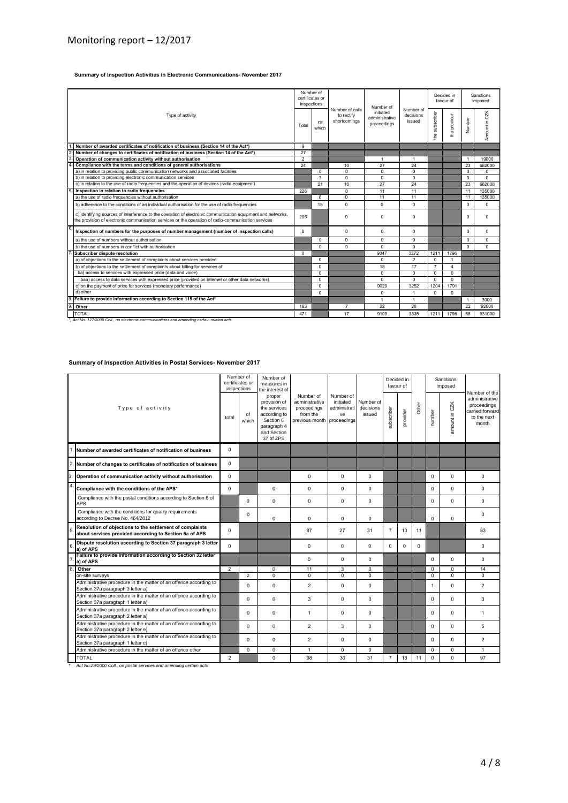#### **Summary of Inspection Activities in Electronic Communications- November 2017**

| Type of activity |                                                                                                                                                                                                                    | Number of<br>certificates or<br>inspections |             |                                               | Number of                                  |                                  | Decided in<br>favour of |                | Sanctions<br>imposed |               |
|------------------|--------------------------------------------------------------------------------------------------------------------------------------------------------------------------------------------------------------------|---------------------------------------------|-------------|-----------------------------------------------|--------------------------------------------|----------------------------------|-------------------------|----------------|----------------------|---------------|
|                  |                                                                                                                                                                                                                    | Total                                       | Of<br>which | Number of calls<br>to rectify<br>shortcomings | initiated<br>administrative<br>proceedings | Number of<br>decisions<br>issued | the subscriber          | the provider   | Number               | Amount in CZK |
|                  | Number of awarded certificates of notification of business (Section 14 of the Act*)                                                                                                                                | 9                                           |             |                                               |                                            |                                  |                         |                |                      |               |
|                  | Number of changes to certificates of notification of business (Section 14 of the Act*)                                                                                                                             | 27                                          |             |                                               |                                            |                                  |                         |                |                      |               |
|                  | Operation of communication activity without authorisation                                                                                                                                                          | $\overline{2}$                              |             |                                               | $\overline{1}$                             | $\overline{1}$                   |                         |                | $\mathbf{1}$         | 19000         |
|                  | Compliance with the terms and conditions of general authorisations                                                                                                                                                 | 24                                          |             | 10                                            | 27                                         | 24                               |                         |                | 23                   | 682000        |
|                  | a) in relation to providing public communication networks and associated facilities                                                                                                                                |                                             | $\Omega$    | $\mathbf 0$                                   | $\Omega$                                   | $\Omega$                         |                         |                | $\Omega$             | $\Omega$      |
|                  | b) in relation to providing electronic communication services                                                                                                                                                      |                                             | 3           | $\mathbf 0$                                   | 0                                          | $\Omega$                         |                         |                | $\Omega$             | $\Omega$      |
|                  | c) in relation to the use of radio frequencies and the operation of devices (radio equipment)                                                                                                                      |                                             | 21          | 10                                            | 27                                         | 24                               |                         |                | 23                   | 682000        |
|                  | Inspection in relation to radio frequencies                                                                                                                                                                        | 226                                         |             | $\Omega$                                      | 11                                         | 11                               |                         |                | 11                   | 135000        |
|                  | a) the use of radio frequencies without authorisation                                                                                                                                                              |                                             | 6           | $\Omega$                                      | 11                                         | 11                               |                         |                | 11                   | 135000        |
|                  | b) adherence to the conditions of an individual authorisation for the use of radio frequencies                                                                                                                     |                                             | 15          | $\Omega$                                      | $\Omega$                                   | $\Omega$                         |                         |                | $\Omega$             | $\Omega$      |
|                  | c) identifying sources of interference to the operation of electronic communication equipment and networks,<br>the provision of electronic communication services or the operation of radio-communication services | 205                                         |             | $\mathbf 0$                                   | $\mathbf 0$                                | $\Omega$                         |                         |                | 0                    | 0             |
|                  | Inspection of numbers for the purposes of number management (number of inspection calls)                                                                                                                           | $\Omega$                                    |             | 0                                             | $\mathbf 0$                                | $\Omega$                         |                         |                | 0                    | 0             |
|                  | a) the use of numbers without authorisation                                                                                                                                                                        |                                             | $\Omega$    | $\Omega$                                      | $\Omega$                                   | $\Omega$                         |                         |                | $\Omega$             | $\Omega$      |
|                  | b) the use of numbers in conflict with authorisation                                                                                                                                                               |                                             | $\Omega$    | $\Omega$                                      | $\Omega$                                   | $\Omega$                         |                         |                | $\Omega$             | $\Omega$      |
|                  | Subscriber dispute resolution                                                                                                                                                                                      | $\Omega$                                    |             |                                               | 9047                                       | 3272                             | 1211                    | 1796           |                      |               |
|                  | a) of objections to the settlement of complaints about services provided                                                                                                                                           |                                             | $\Omega$    |                                               | 0                                          | 2                                | $\Omega$                | -1             |                      |               |
|                  | b) of objections to the settlement of complaints about billing for services of                                                                                                                                     |                                             | $\Omega$    |                                               | 18                                         | 17                               | $\overline{7}$          | $\overline{4}$ |                      |               |
|                  | ba) access to services with expressed price (data and voice)                                                                                                                                                       |                                             | $\Omega$    |                                               | $\Omega$                                   | $\Omega$                         | $\Omega$                | $\Omega$       |                      |               |
|                  | baa) access to data services with expressed price (provided on Internet or other data networks)                                                                                                                    |                                             | $\Omega$    |                                               | $\Omega$                                   | $\Omega$                         | $\Omega$                | $\Omega$       |                      |               |
|                  | c) on the payment of price for services (monetary performance)                                                                                                                                                     |                                             | $\Omega$    |                                               | 9029                                       | 3252                             | 1204                    | 1791           |                      |               |
|                  | d) other                                                                                                                                                                                                           |                                             | $\Omega$    |                                               | 0                                          |                                  | 0                       | $\Omega$       |                      |               |
|                  | Failure to provide information according to Section 115 of the Act*                                                                                                                                                |                                             |             |                                               | $\blacktriangleleft$                       | $\overline{1}$                   |                         |                | $\mathbf{1}$         | 3000          |
|                  | Other                                                                                                                                                                                                              | 183                                         |             | $\overline{7}$                                | 22                                         | 26                               |                         |                | 22                   | 92000         |
|                  | <b>TOTAL</b>                                                                                                                                                                                                       | 471                                         |             | 17                                            | 9109                                       | 3335                             | 1211                    | 1796           | 58                   | 931000        |
|                  | 1) Act No. 127/2005 Coll., on electronic communications and amending certain related acts                                                                                                                          |                                             |             |                                               |                                            |                                  |                         |                |                      |               |

#### **Summary of Inspection Activities in Postal Services- November 2017**

| Type of activity        |                                                                                                                    | Number of<br>certificates or<br>inspections |                | Number of<br>measures in<br>the interest of                                                                    |                                                                                      |                                              |                                  | Decided in<br>favour of |          |       |          | Sanctions<br>imposed |                                                                                           |
|-------------------------|--------------------------------------------------------------------------------------------------------------------|---------------------------------------------|----------------|----------------------------------------------------------------------------------------------------------------|--------------------------------------------------------------------------------------|----------------------------------------------|----------------------------------|-------------------------|----------|-------|----------|----------------------|-------------------------------------------------------------------------------------------|
|                         |                                                                                                                    | total                                       | of<br>which    | proper<br>provision of<br>the services<br>according to<br>Section 6<br>paragraph 4<br>and Section<br>37 of ZPS | Number of<br>administrative<br>proceedings<br>from the<br>previous month proceedings | Number of<br>initiated<br>administrati<br>ve | Number of<br>decisions<br>issued | subscriber              | provider | Other | number   | amount in CZK        | Number of the<br>administrative<br>proceedings<br>carried forward<br>to the next<br>month |
|                         | Number of awarded certificates of notification of business                                                         | $\Omega$                                    |                |                                                                                                                |                                                                                      |                                              |                                  |                         |          |       |          |                      |                                                                                           |
|                         | 2. Number of changes to certificates of notification of business                                                   | $\Omega$                                    |                |                                                                                                                |                                                                                      |                                              |                                  |                         |          |       |          |                      |                                                                                           |
| $\overline{\mathbf{3}}$ | Operation of communication activity without authorisation                                                          | $\Omega$                                    |                |                                                                                                                | $\mathbf 0$                                                                          | $\Omega$                                     | $\mathbf 0$                      |                         |          |       | 0        | $\mathbf 0$          | $\Omega$                                                                                  |
| $\overline{4}$          | Compliance with the conditions of the APS*                                                                         | 0                                           |                | $\mathbf 0$                                                                                                    | $\mathbf 0$                                                                          | $\mathbf 0$                                  | $\mathbf 0$                      |                         |          |       | 0        | $\mathbf 0$          | 0                                                                                         |
|                         | Compliance with the postal conditions according to Section 6 of<br>APS                                             |                                             | $\Omega$       | $\Omega$                                                                                                       | $\Omega$                                                                             | $\Omega$                                     | $\mathbf 0$                      |                         |          |       | 0        | $\Omega$             | $\Omega$                                                                                  |
|                         | Compliance with the conditions for quality requirements<br>according to Decree No. 464/2012                        |                                             | $\mathbf 0$    | $\Omega$                                                                                                       | $\mathbf 0$                                                                          | $\mathbf 0$                                  | $\mathbf 0$                      |                         |          |       | 0        | $\Omega$             | $\mathbf 0$                                                                               |
|                         | Resolution of objections to the settlement of complaints<br>about services provided according to Section 6a of APS | $\Omega$                                    |                |                                                                                                                | 87                                                                                   | 27                                           | 31                               | $\overline{7}$          | 13       | 11    |          |                      | 83                                                                                        |
| 6                       | Dispute resolution according to Section 37 paragraph 3 letter<br>a) of APS                                         | $\Omega$                                    |                |                                                                                                                | $\Omega$                                                                             | $\Omega$                                     | $\mathbf 0$                      | $\Omega$                | $\Omega$ | 0     |          |                      | $\Omega$                                                                                  |
|                         | Failure to provide information according to Section 32 letter<br>a) of APS                                         |                                             |                |                                                                                                                | $\Omega$                                                                             | $\Omega$                                     | $\mathbf 0$                      |                         |          |       | $\Omega$ | $\Omega$             | $\Omega$                                                                                  |
| 8.                      | Other                                                                                                              | $\overline{2}$                              |                | $\mathbf 0$                                                                                                    | 11                                                                                   | 3                                            | $\mathbf 0$                      |                         |          |       | 0        | 0                    | 14                                                                                        |
|                         | on-site survevs                                                                                                    |                                             | $\overline{2}$ | $\Omega$                                                                                                       | $\Omega$                                                                             | $\Omega$                                     | $\mathbf 0$                      |                         |          |       | $\Omega$ | $\Omega$             | $\Omega$                                                                                  |
|                         | Administrative procedure in the matter of an offence according to<br>Section 37a paragraph 3 letter a)             |                                             | $\Omega$       | $\Omega$                                                                                                       | $\overline{2}$                                                                       | $\Omega$                                     | $\mathbf 0$                      |                         |          |       | 1        | $\Omega$             | $\overline{2}$                                                                            |
|                         | Administrative procedure in the matter of an offence according to<br>Section 37a paragraph 1 letter a)             |                                             | $\mathbf 0$    | $\mathbf 0$                                                                                                    | 3                                                                                    | $\mathbf 0$                                  | $\mathbf 0$                      |                         |          |       | 0        | $\mathbf 0$          | 3                                                                                         |
|                         | Administrative procedure in the matter of an offence according to<br>Section 37a paragraph 2 letter a)             |                                             | $\mathbf 0$    | $\mathbf 0$                                                                                                    | $\overline{1}$                                                                       | $\mathbf 0$                                  | $\mathbf 0$                      |                         |          |       | 0        | 0                    | $\mathbf{1}$                                                                              |
|                         | Administrative procedure in the matter of an offence according to<br>Section 37a paragraph 2 letter e)             |                                             | $\mathbf 0$    | $\mathbf 0$                                                                                                    | $\overline{2}$                                                                       | 3                                            | $\mathbf 0$                      |                         |          |       | 0        | $\mathbf 0$          | 5                                                                                         |
|                         | Administrative procedure in the matter of an offence according to<br>Section 37a paragraph 1 letter c)             |                                             | $\Omega$       | $\Omega$                                                                                                       | $\overline{2}$                                                                       | $\Omega$                                     | $\mathbf 0$                      |                         |          |       | $\Omega$ | $\Omega$             | $\overline{2}$                                                                            |
|                         | Administrative procedure in the matter of an offence other                                                         |                                             | $\Omega$       | $\Omega$                                                                                                       | $\overline{1}$                                                                       | $\Omega$                                     | $\mathbf 0$                      |                         |          |       | $\Omega$ | $\Omega$             | $\overline{1}$                                                                            |
|                         | <b>TOTAL</b>                                                                                                       | $\overline{2}$                              |                | $\Omega$                                                                                                       | 98                                                                                   | 30                                           | 31                               | $\overline{7}$          | 13       | 11    | $\Omega$ | $\Omega$             | 97                                                                                        |
|                         | Act No.29/2000 Coll., on postal services and amending certain acts                                                 |                                             |                |                                                                                                                |                                                                                      |                                              |                                  |                         |          |       |          |                      |                                                                                           |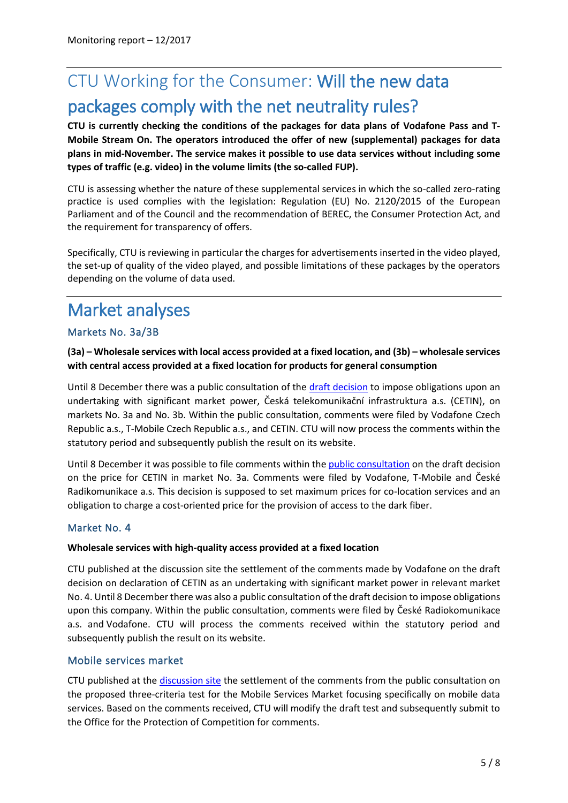# CTU Working for the Consumer: Will the new data packages comply with the net neutrality rules?

**CTU is currently checking the conditions of the packages for data plans of Vodafone Pass and T-Mobile Stream On. The operators introduced the offer of new (supplemental) packages for data plans in mid-November. The service makes it possible to use data services without including some types of traffic (e.g. video) in the volume limits (the so-called FUP).** 

CTU is assessing whether the nature of these supplemental services in which the so-called zero-rating practice is used complies with the legislation: Regulation (EU) No. 2120/2015 of the European Parliament and of the Council and the recommendation of BEREC, the Consumer Protection Act, and the requirement for transparency of offers.

Specifically, CTU is reviewing in particular the charges for advertisements inserted in the video played, the set-up of quality of the video played, and possible limitations of these packages by the operators depending on the volume of data used.

# Market analyses

## Markets No. 3a/3B

## **(3a) – Wholesale services with local access provided at a fixed location, and (3b) – wholesale services with central access provided at a fixed location for products for general consumption**

Until 8 December there was a public consultation of the draft [decision](https://www.ctu.cz/sites/default/files/obsah/ctu/vyzva-k-uplatneni-pripominek-k-navrhu-rozhodnuti-o-ulozeni-povinnosti-spolecnosti-ceska.s.se-sidlem-olsanska-268/6-praha-3-psc-13000-ico-04084063-na-zaklade-vysledku-analyzy-relevantniho-trhu-c.3a-velkoobchodni-sluzby-s-mistnim-pristupem-poskytovanym-v-pevnem-miste./obrazky/rem3aproverejnoukonzultacifinal.pdf) to impose obligations upon an undertaking with significant market power, Česká telekomunikační infrastruktura a.s. (CETIN), on markets No. 3a and No. 3b. Within the public consultation, comments were filed by Vodafone Czech Republic a.s., T-Mobile Czech Republic a.s., and CETIN. CTU will now process the comments within the statutory period and subsequently publish the result on its website.

Until 8 December it was possible to file comments within th[e public consultation](https://www.ctu.cz/vyzva-k-uplatneni-pripominek-k-navrhu-rozhodnuti-o-cene-ve-veci-ulozeni-povinnosti-souvisejici-s-0) on the draft decision on the price for CETIN in market No. 3a. Comments were filed by Vodafone, T-Mobile and České Radikomunikace a.s. This decision is supposed to set maximum prices for co-location services and an obligation to charge a cost-oriented price for the provision of access to the dark fiber.

## Market No. 4

### **Wholesale services with high-quality access provided at a fixed location**

CTU published at the discussion site the settlement of the comments made by Vodafone on the draft decision on declaration of CETIN as an undertaking with significant market power in relevant market No. 4. Until 8 December there was also a public consultation of the draft decision to impose obligations upon this company. Within the public consultation, comments were filed by České Radiokomunikace a.s. and Vodafone. CTU will process the comments received within the statutory period and subsequently publish the result on its website.

## Mobile services market

CTU published at the [discussion site](https://www.ctu.cz/vyzva-k-uplatneni-pripominek-k-navrhu-testu-tri-kriterii-pro-trh-mobilnich-sluzeb) the settlement of the comments from the public consultation on the proposed three-criteria test for the Mobile Services Market focusing specifically on mobile data services. Based on the comments received, CTU will modify the draft test and subsequently submit to the Office for the Protection of Competition for comments.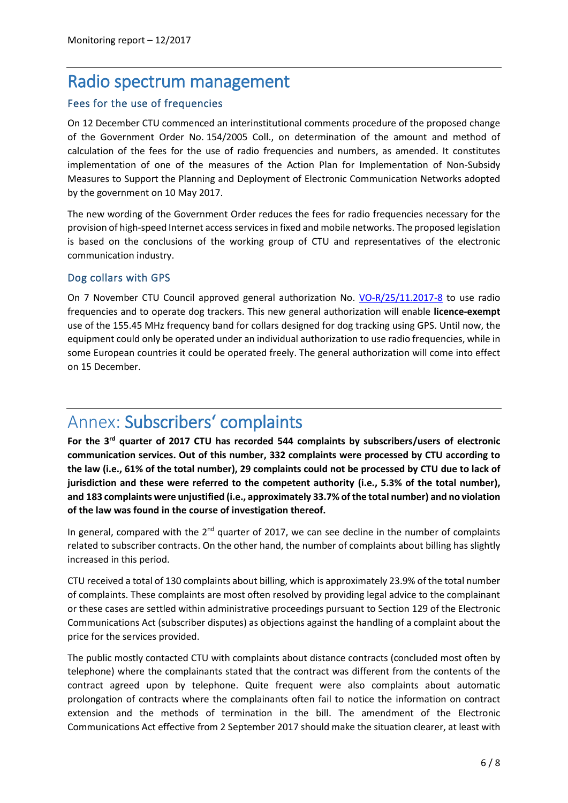## Radio spectrum management

## Fees for the use of frequencies

On 12 December CTU commenced an interinstitutional comments procedure of the proposed change of the Government Order No. 154/2005 Coll., on determination of the amount and method of calculation of the fees for the use of radio frequencies and numbers, as amended. It constitutes implementation of one of the measures of the Action Plan for Implementation of Non-Subsidy Measures to Support the Planning and Deployment of Electronic Communication Networks adopted by the government on 10 May 2017.

The new wording of the Government Order reduces the fees for radio frequencies necessary for the provision of high-speed Internet access services in fixed and mobile networks. The proposed legislation is based on the conclusions of the working group of CTU and representatives of the electronic communication industry.

## Dog collars with GPS

On 7 November CTU Council approved general authorization No. [VO-R/25/11.2017-8](https://www.ctu.cz/sites/default/files/obsah/ctu/vseobecne-opravneni-c.vo-r/25/11.2017-8/obrazky/vo-r25-112017-8.pdf) to use radio frequencies and to operate dog trackers. This new general authorization will enable **licence-exempt** use of the 155.45 MHz frequency band for collars designed for dog tracking using GPS. Until now, the equipment could only be operated under an individual authorization to use radio frequencies, while in some European countries it could be operated freely. The general authorization will come into effect on 15 December.

# Annex: Subscribers' complaints

**For the 3rd quarter of 2017 CTU has recorded 544 complaints by subscribers/users of electronic communication services. Out of this number, 332 complaints were processed by CTU according to the law (i.e., 61% of the total number), 29 complaints could not be processed by CTU due to lack of jurisdiction and these were referred to the competent authority (i.e., 5.3% of the total number), and 183 complaints were unjustified (i.e., approximately 33.7% of the total number) and no violation of the law was found in the course of investigation thereof.**

In general, compared with the  $2^{nd}$  quarter of 2017, we can see decline in the number of complaints related to subscriber contracts. On the other hand, the number of complaints about billing has slightly increased in this period.

CTU received a total of 130 complaints about billing, which is approximately 23.9% of the total number of complaints. These complaints are most often resolved by providing legal advice to the complainant or these cases are settled within administrative proceedings pursuant to Section 129 of the Electronic Communications Act (subscriber disputes) as objections against the handling of a complaint about the price for the services provided.

The public mostly contacted CTU with complaints about distance contracts (concluded most often by telephone) where the complainants stated that the contract was different from the contents of the contract agreed upon by telephone. Quite frequent were also complaints about automatic prolongation of contracts where the complainants often fail to notice the information on contract extension and the methods of termination in the bill. The amendment of the Electronic Communications Act effective from 2 September 2017 should make the situation clearer, at least with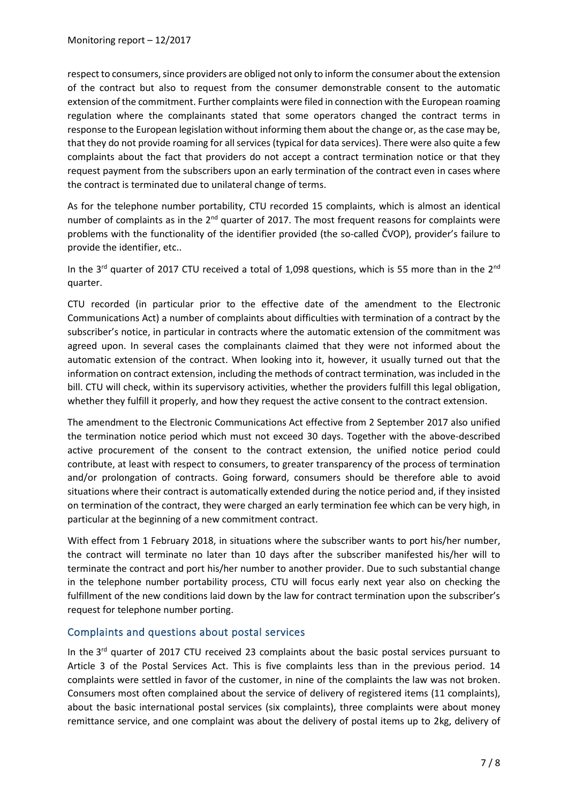respectto consumers, since providers are obliged not only to inform the consumer about the extension of the contract but also to request from the consumer demonstrable consent to the automatic extension of the commitment. Further complaints were filed in connection with the European roaming regulation where the complainants stated that some operators changed the contract terms in response to the European legislation without informing them about the change or, as the case may be, that they do not provide roaming for all services (typical for data services). There were also quite a few complaints about the fact that providers do not accept a contract termination notice or that they request payment from the subscribers upon an early termination of the contract even in cases where the contract is terminated due to unilateral change of terms.

As for the telephone number portability, CTU recorded 15 complaints, which is almost an identical number of complaints as in the 2<sup>nd</sup> quarter of 2017. The most frequent reasons for complaints were problems with the functionality of the identifier provided (the so-called ČVOP), provider's failure to provide the identifier, etc..

In the 3<sup>rd</sup> quarter of 2017 CTU received a total of 1,098 questions, which is 55 more than in the 2<sup>nd</sup> quarter.

CTU recorded (in particular prior to the effective date of the amendment to the Electronic Communications Act) a number of complaints about difficulties with termination of a contract by the subscriber's notice, in particular in contracts where the automatic extension of the commitment was agreed upon. In several cases the complainants claimed that they were not informed about the automatic extension of the contract. When looking into it, however, it usually turned out that the information on contract extension, including the methods of contract termination, was included in the bill. CTU will check, within its supervisory activities, whether the providers fulfill this legal obligation, whether they fulfill it properly, and how they request the active consent to the contract extension.

The amendment to the Electronic Communications Act effective from 2 September 2017 also unified the termination notice period which must not exceed 30 days. Together with the above-described active procurement of the consent to the contract extension, the unified notice period could contribute, at least with respect to consumers, to greater transparency of the process of termination and/or prolongation of contracts. Going forward, consumers should be therefore able to avoid situations where their contract is automatically extended during the notice period and, if they insisted on termination of the contract, they were charged an early termination fee which can be very high, in particular at the beginning of a new commitment contract.

With effect from 1 February 2018, in situations where the subscriber wants to port his/her number, the contract will terminate no later than 10 days after the subscriber manifested his/her will to terminate the contract and port his/her number to another provider. Due to such substantial change in the telephone number portability process, CTU will focus early next year also on checking the fulfillment of the new conditions laid down by the law for contract termination upon the subscriber's request for telephone number porting.

## Complaints and questions about postal services

In the 3<sup>rd</sup> quarter of 2017 CTU received 23 complaints about the basic postal services pursuant to Article 3 of the Postal Services Act. This is five complaints less than in the previous period. 14 complaints were settled in favor of the customer, in nine of the complaints the law was not broken. Consumers most often complained about the service of delivery of registered items (11 complaints), about the basic international postal services (six complaints), three complaints were about money remittance service, and one complaint was about the delivery of postal items up to 2kg, delivery of